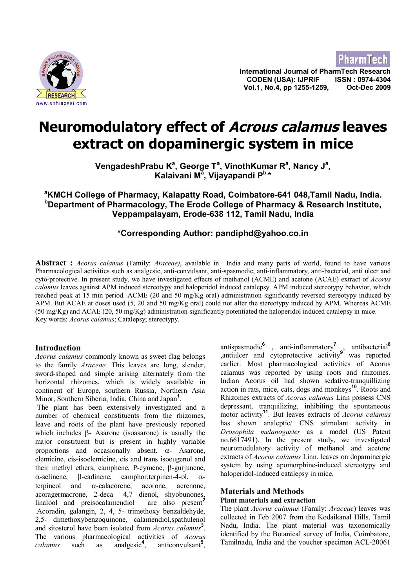



**International Journal of PharmTech Research CODEN (USA): IJPRIF ISSN : 0974-4304 Vol.1, No.4, pp 1255-1259, Oct-Dec 2009**

# **Neuromodulatory effect of Acrous calamus leaves extract on dopaminergic system in mice**

**VengadeshPrabu K<sup>a</sup> , George T<sup>a</sup> , VinothKumar R<sup>a</sup> , Nancy J<sup>a</sup> , Kalaivani M<sup>a</sup> , Vijayapandi Pb,\***

## **<sup>a</sup>KMCH College of Pharmacy, Kalapatty Road, Coimbatore-641 048,Tamil Nadu, India. <sup>b</sup>Department of Pharmacology, The Erode College of Pharmacy & Research Institute, Veppampalayam, Erode-638 112, Tamil Nadu, India**

## **\*Corresponding Author: pandiphd@yahoo.co.in**

**Abstract :** *Acorus calamus* (Family: *Araceae)*, available in India and many parts of world, found to have various Pharmacological activities such as analgesic, anti-convulsant, anti-spasmodic, anti-inflammatory, anti-bacterial, anti ulcer and cyto-protective. In present study, we have investigated effects of methanol (ACME) and acetone (ACAE) extract of *Acorus calamus* leaves against APM induced stereotypy and haloperidol induced catalepsy. APM induced stereotypy behavior, which reached peak at 15 min period. ACME (20 and 50 mg/Kg oral) administration significantly reversed stereotypy induced by APM. But ACAE at doses used (5, 20 and 50 mg/Kg oral) could not alter the stereotypy induced by APM. Whereas ACME  $(50 \text{ mg/Kg})$  and ACAE (20, 50 mg/Kg) administration significantly potentiated the haloperidol induced catalepsy in mice. Key words: *Acorus calamus*; Catalepsy; stereotypy.

### **Introduction**

*Acorus calamus* commonly known as sweet flag belongs to the family *Araceae.* This leaves are long, slender, sword-shaped and simple arising alternately from the horizontal rhizomes, which is widely available in continent of Europe, southern Russia, Northern Asia Minor, Southern Siberia, India, China and Japan**<sup>1</sup>** .

 The plant has been extensively investigated and a number of chemical constituents from the rhizomes, leave and roots of the plant have previously reported which includes b- Asarone (isoasarone) is usually the major constituent but is present in highly variable proportions and occasionally absent.  $\alpha$ - Asarone, elemicine, cis-isoelemicine, cis and trans isoeugenol and their methyl ethers, camphene, P-cymene,  $\beta$ -gurjunene,  $\alpha$ -selinene,  $\beta$ -cadinene, camphor,terpinen-4-ol,  $\alpha$ terpineol and  $\alpha$ -calacorene, acorone, acrenone, acoragermacrone, 2-deca –4,7 dienol, shyobunones, linalool and preisocalamendiol are also present**<sup>2</sup>** .Acoradin, galangin, 2, 4, 5- trimethoxy benzaldehyde, 2,5- dimethoxybenzoquinone, calamendiol,spathulenol and sitosterol have been isolated from *Acorus calamus***<sup>3</sup>** . The various pharmacological activities of *Acorus calamus* such as analgesic**<sup>4</sup>** , anticonvulsant**<sup>5</sup>** ,

antispasmodic**<sup>6</sup>** , anti-inflammatory**<sup>7</sup>** , antibacterial**<sup>8</sup>** ,antiulcer and cytoprotective activity**<sup>9</sup>** was reported earlier. Most pharmacological activities of Acorus calamus was reported by using roots and rhizomes. Indian Acorus oil had shown sedative-tranquillizing action in rats, mice, cats, dogs and monkeys**<sup>10</sup>**. Roots and Rhizomes extracts of *Acorus calamus* Linn possess CNS depressant, tranquilizing, inhibiting the spontaneous motor activity**<sup>11</sup>**. But leaves extracts of *Acorus calamus* has shown analeptic/ CNS stimulant activity in *Drosophila melanogaster* as a model (US Patent no.6617491). In the present study, we investigated neuromodulatory activity of methanol and acetone extracts of *Acorus calamus* Linn. leaves on dopaminergic system by using apomorphine-induced stereotypy and haloperidol-induced catalepsy in mice.

## **Materials and Methods**

## **Plant materials and extraction**

The plant *Acorus calamus* (Family: *Araceae*) leaves was collected in Feb 2007 from the Kodaikanal Hills, Tamil Nadu, India. The plant material was taxonomically identified by the Botanical survey of India, Coimbatore, Tamilnadu, India and the voucher specimen ACL-20061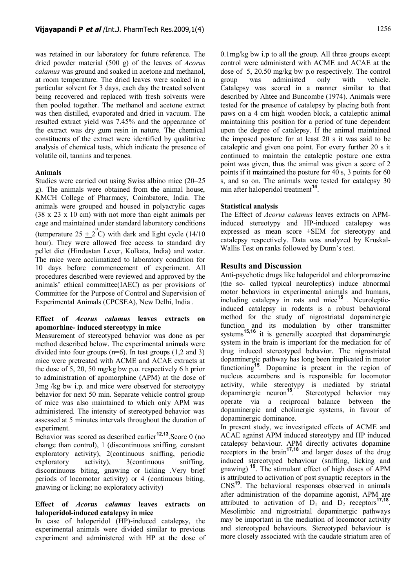was retained in our laboratory for future reference. The dried powder material (500 g) of the leaves of *Acorus calamus* was ground and soaked in acetone and methanol, at room temperature. The dried leaves were soaked in a particular solvent for 3 days, each day the treated solvent being recovered and replaced with fresh solvents were then pooled together. The methanol and acetone extract was then distilled, evaporated and dried in vacuum. The resulted extract yield was 7.45% and the appearance of the extract was dry gum resin in nature. The chemical constituents of the extract were identified by qualitative analysis of chemical tests, which indicate the presence of volatile oil, tannins and terpenes.

### **Animals**

Studies were carried out using Swiss albino mice (20–25 g). The animals were obtained from the animal house, KMCH College of Pharmacy, Coimbatore, India. The animals were grouped and housed in polyacrylic cages (38 x 23 x 10 cm) with not more than eight animals per cage and maintained under standard laboratory conditions (temperature  $25 \pm 2^{\degree}$ C) with dark and light cycle (14/10) hour). They were allowed free access to standard dry pellet diet (Hindustan Lever, Kolkata, India) and water. The mice were acclimatized to laboratory condition for 10 days before commencement of experiment. All procedures described were reviewed and approved by the animals' ethical committee(IAEC) as per provisions of Committee for the Purpose of Control and Supervision of Experimental Animals (CPCSEA), New Delhi, India .

#### **Effect of** *Acorus calamus* **leaves extracts on apomorhine- induced stereotypy in mice**

Measurement of stereotyped behavior was done as per method described below. The experimental animals were divided into four groups  $(n=6)$ . In test groups  $(1,2 \text{ and } 3)$ mice were pretreated with ACME and ACAE extracts at the dose of 5, 20, 50 mg/kg bw p.o. respectively 6 h prior to administration of apomorphine (APM) at the dose of 3mg /kg bw i.p. and mice were observed for stereotypy behavior for next 50 min. Separate vehicle control group of mice was also maintained to which only APM was administered. The intensity of stereotyped behavior was assessed at 5 minutes intervals throughout the duration of experiment.

Behavior was scored as described earlier<sup>12,13</sup>. Score 0 (no change than control), 1 (discontinuous sniffing, constant exploratory activity), 2(continuous sniffing, periodic exploratory activity), 3(continuous sniffing, discontinuous biting, gnawing or licking .Very brief periods of locomotor activity) or 4 (continuous biting, gnawing or licking; no exploratory activity)

#### **Effect of** *Acorus calamus* **leaves extracts on haloperidol-induced catalepsy in mice**

In case of haloperidol (HP)-induced catalepsy, the experimental animals were divided similar to previous experiment and administered with HP at the dose of 0.1mg/kg bw i.p to all the group. All three groups except control were administerd with ACME and ACAE at the dose of 5, 20.50 mg/kg bw p.o respectively. The control group was administed only with vehicle. Catalepsy was scored in a manner similar to that described by Ahtee and Buncombe (1974). Animals were tested for the presence of catalepsy by placing both front paws on a 4 cm high wooden block, a cataleptic animal maintaining this position for a period of tune dependent upon the degree of catalepsy. If the animal maintained the imposed posture for at least 20 s it was said to be cataleptic and given one point. For every further 20 s it continued to maintain the cataleptic posture one extra point was given, thus the animal was given a score of 2 points if it maintained the posture for 40 s, 3 points for 60 s, and so on. The animals were tested for catalepsy 30 min after haloperidol treatment**<sup>14</sup>** .

#### **Statistical analysis**

The Effect of *Acorus calamus* leaves extracts on APMinduced stereotypy and HP-induced catalepsy was expressed as mean score ±SEM for stereotypy and catalepsy respectively. Data was analyzed by Kruskal-Wallis Test on ranks followed by Dunn's test.

### **Results and Discussion**

Anti-psychotic drugs like haloperidol and chlorpromazine (the so- called typical neuroleptics) induce abnormal motor behaviors in experimental animals and humans, including catalepsy in rats and mice**<sup>15</sup>** *.* Neurolepticinduced catalepsy in rodents is a robust behavioral method for the study of nigrostriatal dopaminergic function and its modulation by other transmitter systems<sup>15,16</sup> it is generally accepted that dopaminergic system in the brain is important for the mediation for of drug induced stereotyped behavior. The nigrostriatal dopaminergic pathway has long been implicated in motor functioning<sup>15</sup>. Dopamine is present in the region of nucleus accumbens and is responsible for locomotor activity, while stereotypy is mediated by striatal dopaminergic neuron**<sup>15</sup>** *.* Stereotyped behavior may operate via a reciprocal balance between the dopaminergic and cholinergic systems, in favour of dopaminergic dominance.

In present study, we investigated effects of ACME and ACAE against APM induced stereotypy and HP induced catalepsy behaviour. APM directly activates dopamine receptors in the brain**17,18** and larger doses of the drug induced stereotyped behaviour (sniffing, licking and gnawing)**<sup>19</sup>**. The stimulant effect of high doses of APM is attributed to activation of post synaptic receptors in the CNS**<sup>19</sup>**. The behavioral responses observed in animals after administration of the dopamine agonist, APM are attributed to activation of  $D_1$  and  $D_2$  receptors<sup>17,18</sup>. Mesolimbic and nigrostriatal dopaminergic pathways may be important in the mediation of locomotor activity and stereotyped behaviours. Stereotyped behaviour is more closely associated with the caudate striatum area of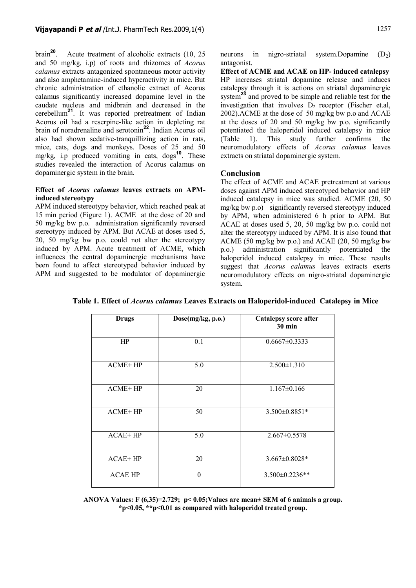brain**<sup>20</sup>**. Acute treatment of alcoholic extracts (10, 25 and 50 mg/kg, i.p) of roots and rhizomes of *Acorus calamus* extracts antagonized spontaneous motor activity and also amphetamine-induced hyperactivity in mice. But chronic administration of ethanolic extract of Acorus calamus significantly increased dopamine level in the caudate nucleus and midbrain and decreased in the cerebellum**<sup>21</sup>**. It was reported pretreatment of Indian Acorus oil had a reserpine-like action in depleting rat brain of noradrenaline and serotonin**<sup>22</sup>**. Indian Acorus oil also had shown sedative-tranquillizing action in rats, mice, cats, dogs and monkeys. Doses of 25 and 50 mg/kg, i.p produced vomiting in cats, dogs**<sup>10</sup>**. These studies revealed the interaction of Acorus calamus on dopaminergic system in the brain.

#### **Effect of** *Acorus calamus* **leaves extracts on APMinduced stereotypy**

APM induced stereotypy behavior, which reached peak at 15 min period (Figure 1). ACME at the dose of 20 and 50 mg/kg bw p.o. administration significantly reversed stereotypy induced by APM. But ACAE at doses used 5, 20, 50 mg/kg bw p.o. could not alter the stereotypy induced by APM. Acute treatment of ACME, which influences the central dopaminergic mechanisms have been found to affect stereotyped behavior induced by APM and suggested to be modulator of dopaminergic

neurons in nigro-striatal system.Dopamine  $(D_2)$ antagonist.

**Effect of ACME and ACAE on HP- induced catalepsy** HP increases striatal dopamine release and induces catalepsy through it is actions on striatal dopaminergic system<sup>23</sup> and proved to be simple and reliable test for the investigation that involves  $\overline{D}_2$  receptor (Fischer et.al, 2002).ACME at the dose of 50 mg/kg bw p.o and ACAE at the doses of 20 and 50 mg/kg bw p.o. significantly potentiated the haloperidol induced catalepsy in mice (Table 1). This study further confirms the neuromodulatory effects of *Acorus calamus* leaves extracts on striatal dopaminergic system.

#### **Conclusion**

The effect of ACME and ACAE pretreatment at various doses against APM induced stereotyped behavior and HP induced catalepsy in mice was studied. ACME (20, 50 mg/kg bw p.o) significantly reversed stereotypy induced by APM, when administered 6 h prior to APM. But ACAE at doses used 5, 20, 50 mg/kg bw p.o. could not alter the stereotypy induced by APM. It is also found that ACME (50 mg/kg bw p.o.) and ACAE (20, 50 mg/kg bw p.o.) administration significantly potentiated the haloperidol induced catalepsy in mice. These results suggest that *Acorus calamus* leaves extracts exerts neuromodulatory effects on nigro-striatal dopaminergic system.

| <b>Drugs</b>   | Dose(mg/kg, p.o.) | Catalepsy score after<br><b>30 min</b> |
|----------------|-------------------|----------------------------------------|
| HP             | 0.1               | $0.6667 \pm 0.3333$                    |
| $ACME+HP$      | 5.0               | $2.500 \pm 1.310$                      |
| <b>ACME+HP</b> | 20                | $1.167 \pm 0.166$                      |
| <b>ACME+HP</b> | 50                | $3.500 \pm 0.8851*$                    |
| $ACAE+HP$      | 5.0               | $2.667 \pm 0.5578$                     |
| $ACAE+HP$      | 20                | $3.667 \pm 0.8028*$                    |
| <b>ACAE HP</b> | $\Omega$          | $3.500 \pm 0.2236$ **                  |

**Table 1. Effect of** *Acorus calamus* **Leaves Extracts on Haloperidol-induced Catalepsy in Mice**

**ANOVA Values: F (6,35)=2.729; p< 0.05;Values are mean± SEM of 6 animals a group. \*p<0.05, \*\*p<0.01 as compared with haloperidol treated group.**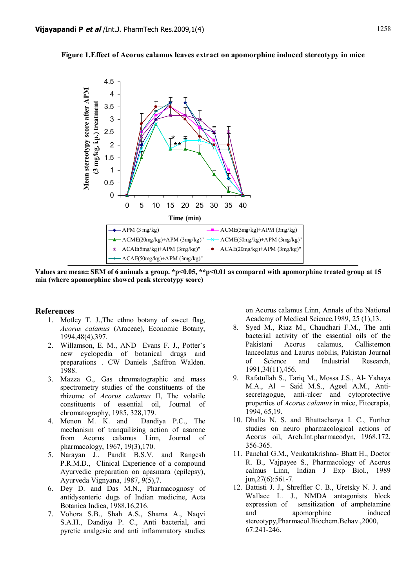#### **Figure 1.Effect of Acorus calamus leaves extract on apomorphine induced stereotypy in mice**



**Values are mean± SEM of 6 animals a group. \*p<0.05, \*\*p<0.01 as compared with apomorphine treated group at 15 min (where apomorphine showed peak stereotypy score)**

#### **References**

- 1. Motley T. J.,The ethno botany of sweet flag, *Acorus calamus* (Araceae), Economic Botany, 1994,48(4),397.
- 2. Willamson, E. M., AND Evans F. J., Potter's new cyclopedia of botanical drugs and preparations . CW Daniels ,Saffron Walden. 1988.
- 3. Mazza G., Gas chromatographic and mass spectrometry studies of the constituents of the rhizome of *Acorus calamus* II, The volatile constituents of essential oil, Journal of chromatography, 1985, 328,179.
- 4. Menon M. K. and Dandiya P.C., The mechanism of tranquilizing action of asarone from Acorus calamus Linn, Journal of pharmacology, 1967, 19(3),170.
- 5. Narayan J., Pandit B.S.V. and Rangesh P.R.M.D., Clinical Experience of a compound Ayurvedic preparation on apasmara (epilepsy), Ayurveda Vignyana, 1987, 9(5),7.
- 6. Dey D. and Das M.N., Pharmacognosy of antidysenteric dugs of Indian medicine, Acta Botanica Indica, 1988,16,216.
- 7. Vohora S.B., Shah A.S., Shama A., Naqvi S.A.H., Dandiya P. C., Anti bacterial, anti pyretic analgesic and anti inflammatory studies

on Acorus calamus Linn, Annals of the National Academy of Medical Science,1989, 25 (1),13.

- 8. Syed M., Riaz M., Chaudhari F.M., The anti bacterial activity of the essential oils of the Pakistani Acorus calamus, Callistemon lanceolatus and Laurus nobilis, Pakistan Journal of Science and Industrial Research, 1991,34(11),456.
- 9. Rafatullah S., Tariq M., Mossa J.S., Al- Yahaya M.A., Al – Said M.S., Ageel A.M., Antisecretagogue, anti-ulcer and cytoprotective properties of *Acorus calamus* in mice, Fitoerapia, 1994, 65,19.
- 10. Dhalla N. S. and Bhattacharya I. C., Further studies on neuro pharmacological actions of Acorus oil, Arch.Int.pharmacodyn, 1968,172, 356-365.
- 11. Panchal G.M., Venkatakrishna- Bhatt H., Doctor R. B., Vajpayee S., Pharmacology of Acorus calmus Linn, Indian J Exp Biol., 1989 jun,27(6):561-7.
- 12. Battisti J. J., Shreffler C. B., Uretsky N. J. and Wallace L. J., NMDA antagonists block expression of sensitization of amphetamine and apomorphine induced stereotypy,Pharmacol.Biochem.Behav.,2000, 67:241-246.